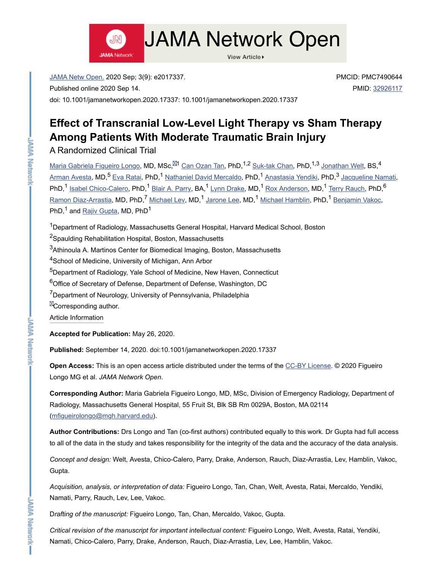

JAMA Network Open

View Article »

JAMA Netw Open. 2020 Sep; 3(9): e2017337. Published online 2020 Sep 14. doi: 10.1001/jamanetworkopen.2020.17337: 10.1001/jamanetworkopen.2020.17337 PMCID: PMC7490644 PMID: 32926117

# **Effect of Transcranial Low-Level Light Therapy vs Sham Therapy Among Patients With Moderate Traumatic Brain Injury**

A Randomized Clinical Trial

<u>Maria Gabriela Figueiro Longo,</u> MD, MSc,<sup>⊠1</sup> <u>Can Ozan Tan</u>, PhD,<sup>1,2</sup> <u>Suk-tak Chan,</u> PhD,<sup>1,3</sup> Jonathan Welt, BS,<sup>4</sup> <u>Arman Avesta,</u> MD,<sup>5</sup> Eva Ratai, PhD,<sup>1</sup> Nathaniel David Mercaldo, PhD,<sup>1</sup> Anastasia Yendiki, PhD,<sup>3</sup> Jacqueline Namati, PhD,<sup>1</sup> <u>Isabel Chico-Calero,</u> PhD,<sup>1</sup> <u>Blair A. Parry,</u> BA,<sup>1</sup> L<u>ynn Drake,</u> MD,<sup>1</sup> <u>Rox Anderson,</u> MD,<sup>1</sup> Terr<u>y Rauch,</u> PhD,<sup>6</sup> <u>Ramon Diaz-Arrastia</u>, MD, PhD,<sup>7</sup> Michael Lev, MD,<sup>1</sup> Jarone Lee, MD,<sup>1</sup> Michael Hamblin, PhD,<sup>1</sup> <u>Benjamin Vakoc,</u> PhD,<sup>1</sup> and <u>Rajiv Gupta</u>, MD, PhD<sup>1</sup>

<sup>1</sup>Department of Radiology, Massachusetts General Hospital, Harvard Medical School, Boston

<sup>2</sup>Spaulding Rehabilitation Hospital, Boston, Massachusetts

 ${}^{3}$ Athinoula A. Martinos Center for Biomedical Imaging, Boston, Massachusetts

<sup>4</sup>School of Medicine, University of Michigan, Ann Arbor

<sup>5</sup>Department of Radiology, Yale School of Medicine, New Haven, Connecticut

<sup>6</sup>Office of Secretary of Defense, Department of Defense, Washington, DC

<sup>7</sup>Department of Neurology, University of Pennsylvania, Philadelphia

**ECOrresponding author.** 

Article Information

**Accepted for Publication:** May 26, 2020.

**Published:** September 14, 2020. doi:10.1001/jamanetworkopen.2020.17337

**Open Access:** This is an open access article distributed under the terms of the CC-BY License. © 2020 Figueiro Longo MG et al. *JAMA Network Open*.

**Corresponding Author:** Maria Gabriela Figueiro Longo, MD, MSc, Division of Emergency Radiology, Department of Radiology, Massachusetts General Hospital, 55 Fruit St, Blk SB Rm 0029A, Boston, MA 02114 (mfigueirolongo@mgh.harvard.edu).

**Author Contributions:** Drs Longo and Tan (co-first authors) contributed equally to this work. Dr Gupta had full access to all of the data in the study and takes responsibility for the integrity of the data and the accuracy of the data analysis.

*Concept and design:* Welt, Avesta, Chico-Calero, Parry, Drake, Anderson, Rauch, Diaz-Arrastia, Lev, Hamblin, Vakoc, Gupta.

*Acquisition, analysis, or interpretation of data:* Figueiro Longo, Tan, Chan, Welt, Avesta, Ratai, Mercaldo, Yendiki, Namati, Parry, Rauch, Lev, Lee, Vakoc.

D*rafting of the manuscript:* Figueiro Longo, Tan, Chan, Mercaldo, Vakoc, Gupta.

*Critical revision of the manuscript for important intellectual content:* Figueiro Longo, Welt, Avesta, Ratai, Yendiki, Namati, Chico-Calero, Parry, Drake, Anderson, Rauch, Diaz-Arrastia, Lev, Lee, Hamblin, Vakoc.

**LARA Zermark** 

**Communication**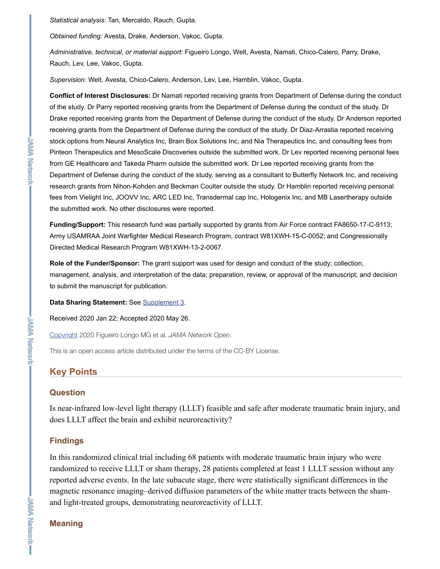*Statistical analysis:* Tan, Mercaldo, Rauch, Gupta.

*Obtained funding:* Avesta, Drake, Anderson, Vakoc, Gupta.

*Administrative, technical, or material support:* Figueiro Longo, Welt, Avesta, Namati, Chico-Calero, Parry, Drake, Rauch, Lev, Lee, Vakoc, Gupta.

*Supervision:* Welt, Avesta, Chico-Calero, Anderson, Lev, Lee, Hamblin, Vakoc, Gupta.

**Conflict of Interest Disclosures:** Dr Namati reported receiving grants from Department of Defense during the conduct of the study. Dr Parry reported receiving grants from the Department of Defense during the conduct of the study. Dr Drake reported receiving grants from the Department of Defense during the conduct of the study. Dr Anderson reported receiving grants from the Department of Defense during the conduct of the study. Dr Diaz-Arrastia reported receiving stock options from Neural Analytics Inc, Brain Box Solutions Inc, and Nia Therapeutics Inc, and consulting fees from Pinteon Therapeutics and MesoScale Discoveries outside the submitted work. Dr Lev reported receiving personal fees from GE Healthcare and Takeda Pharm outside the submitted work. Dr Lee reported receiving grants from the Department of Defense during the conduct of the study, serving as a consultant to Butterfly Network Inc, and receiving research grants from Nihon-Kohden and Beckman Coulter outside the study. Dr Hamblin reported receiving personal fees from Vielight Inc, JOOVV Inc, ARC LED Inc, Transdermal cap Inc, Hologenix Inc, and MB Lasertherapy outside the submitted work. No other disclosures were reported.

**Funding/Support:** This research fund was partially supported by grants from Air Force contract FA8650-17-C-9113; Army USAMRAA Joint Warfighter Medical Research Program, contract W81XWH-15-C-0052; and Congressionally Directed Medical Research Program W81XWH-13-2-0067.

**Role of the Funder/Sponsor:** The grant support was used for design and conduct of the study; collection, management, analysis, and interpretation of the data; preparation, review, or approval of the manuscript; and decision to submit the manuscript for publication.

**Data Sharing Statement:** See Supplement 3.

Received 2020 Jan 22; Accepted 2020 May 26.

Copyright 2020 Figueiro Longo MG et al. *JAMA Network Open*.

This is an open access article distributed under the terms of the CC-BY License.

# **Key Points**

# **Question**

JAMA Nemork

**LABAA Zemment** 

Is near-infrared low-level light therapy (LLLT) feasible and safe after moderate traumatic brain injury, and does LLLT affect the brain and exhibit neuroreactivity?

# **Findings**

In this randomized clinical trial including 68 patients with moderate traumatic brain injury who were randomized to receive LLLT or sham therapy, 28 patients completed at least 1 LLLT session without any reported adverse events. In the late subacute stage, there were statistically significant differences in the magnetic resonance imaging–derived diffusion parameters of the white matter tracts between the shamand light-treated groups, demonstrating neuroreactivity of LLLT.

**Lewisson's** 

# **Meaning**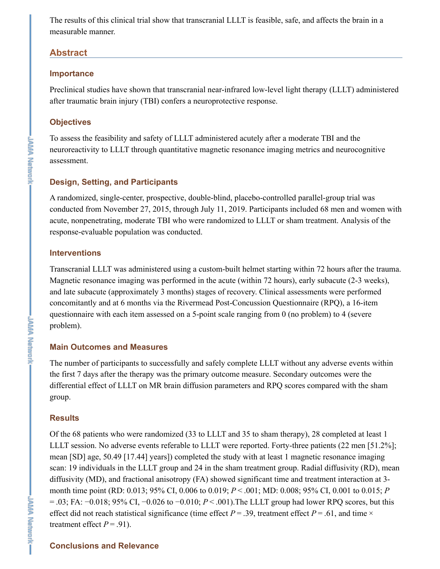The results of this clinical trial show that transcranial LLLT is feasible, safe, and affects the brain in a measurable manner.

# **Abstract**

#### **Importance**

Preclinical studies have shown that transcranial near-infrared low-level light therapy (LLLT) administered after traumatic brain injury (TBI) confers a neuroprotective response.

# **Objectives**

 $L_{\rm F2}$  and  $R_{\rm B2}$ 

**Library Namesor** 

 $\frac{1}{2}$  ,  $\frac{1}{2}$  ,  $\frac{1}{2}$  ,  $\frac{1}{2}$  ,  $\frac{1}{2}$  ,  $\frac{1}{2}$  ,  $\frac{1}{2}$ 

To assess the feasibility and safety of LLLT administered acutely after a moderate TBI and the neuroreactivity to LLLT through quantitative magnetic resonance imaging metrics and neurocognitive assessment.

# **Design, Setting, and Participants**

A randomized, single-center, prospective, double-blind, placebo-controlled parallel-group trial was conducted from November 27, 2015, through July 11, 2019. Participants included 68 men and women with acute, nonpenetrating, moderate TBI who were randomized to LLLT or sham treatment. Analysis of the response-evaluable population was conducted.

# **Interventions**

Transcranial LLLT was administered using a custom-built helmet starting within 72 hours after the trauma. Magnetic resonance imaging was performed in the acute (within 72 hours), early subacute (2-3 weeks), and late subacute (approximately 3 months) stages of recovery. Clinical assessments were performed concomitantly and at 6 months via the Rivermead Post-Concussion Questionnaire (RPQ), a 16-item questionnaire with each item assessed on a 5-point scale ranging from 0 (no problem) to 4 (severe problem).

# **Main Outcomes and Measures**

The number of participants to successfully and safely complete LLLT without any adverse events within the first 7 days after the therapy was the primary outcome measure. Secondary outcomes were the differential effect of LLLT on MR brain diffusion parameters and RPQ scores compared with the sham group.

# **Results**

Of the 68 patients who were randomized (33 to LLLT and 35 to sham therapy), 28 completed at least 1 LLLT session. No adverse events referable to LLLT were reported. Forty-three patients (22 men [51.2%]; mean [SD] age, 50.49 [17.44] years]) completed the study with at least 1 magnetic resonance imaging scan: 19 individuals in the LLLT group and 24 in the sham treatment group. Radial diffusivity (RD), mean diffusivity (MD), and fractional anisotropy (FA) showed significant time and treatment interaction at 3 month time point (RD: 0.013; 95% CI, 0.006 to 0.019; *P* < .001; MD: 0.008; 95% CI, 0.001 to 0.015; *P* = .03; FA: −0.018; 95% CI, −0.026 to −0.010; *P* < .001).The LLLT group had lower RPQ scores, but this effect did not reach statistical significance (time effect  $P = .39$ , treatment effect  $P = .61$ , and time  $\times$ treatment effect  $P = .91$ ).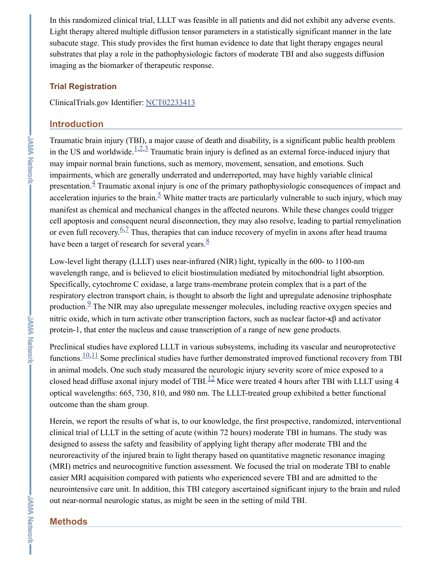In this randomized clinical trial, LLLT was feasible in all patients and did not exhibit any adverse events. Light therapy altered multiple diffusion tensor parameters in a statistically significant manner in the late subacute stage. This study provides the first human evidence to date that light therapy engages neural substrates that play a role in the pathophysiologic factors of moderate TBI and also suggests diffusion imaging as the biomarker of therapeutic response.

# **Trial Registration**

ClinicalTrials.gov Identifier: NCT02233413

# **Introduction**

Traumatic brain injury (TBI), a major cause of death and disability, is a significant public health problem in the US and worldwide. $\frac{1}{2}$ , Traumatic brain injury is defined as an external force-induced injury that may impair normal brain functions, such as memory, movement, sensation, and emotions. Such impairments, which are generally underrated and underreported, may have highly variable clinical presentation. $\frac{4}{3}$  Traumatic axonal injury is one of the primary pathophysiologic consequences of impact and acceleration injuries to the brain.<sup>5</sup> White matter tracts are particularly vulnerable to such injury, which may manifest as chemical and mechanical changes in the affected neurons. While these changes could trigger cell apoptosis and consequent neural disconnection, they may also resolve, leading to partial remyelination or even full recovery.  $6.7$  Thus, therapies that can induce recovery of myelin in axons after head trauma have been a target of research for several years. $\frac{8}{3}$ 

Low-level light therapy (LLLT) uses near-infrared (NIR) light, typically in the 600- to 1100-nm wavelength range, and is believed to elicit biostimulation mediated by mitochondrial light absorption. Specifically, cytochrome C oxidase, a large trans-membrane protein complex that is a part of the respiratory electron transport chain, is thought to absorb the light and upregulate adenosine triphosphate production. $9^{\circ}$  The NIR may also upregulate messenger molecules, including reactive oxygen species and nitric oxide, which in turn activate other transcription factors, such as nuclear factor-κβ and activator protein-1, that enter the nucleus and cause transcription of a range of new gene products.

Preclinical studies have explored LLLT in various subsystems, including its vascular and neuroprotective functions.  $\frac{10,11}{10}$  Some preclinical studies have further demonstrated improved functional recovery from TBI in animal models. One such study measured the neurologic injury severity score of mice exposed to a closed head diffuse axonal injury model of TBI. $^{12}$  Mice were treated 4 hours after TBI with LLLT using 4 optical wavelengths: 665, 730, 810, and 980 nm. The LLLT-treated group exhibited a better functional outcome than the sham group.

Herein, we report the results of what is, to our knowledge, the first prospective, randomized, interventional clinical trial of LLLT in the setting of acute (within 72 hours) moderate TBI in humans. The study was designed to assess the safety and feasibility of applying light therapy after moderate TBI and the neuroreactivity of the injured brain to light therapy based on quantitative magnetic resonance imaging (MRI) metrics and neurocognitive function assessment. We focused the trial on moderate TBI to enable easier MRI acquisition compared with patients who experienced severe TBI and are admitted to the neurointensive care unit. In addition, this TBI category ascertained significant injury to the brain and ruled out near-normal neurologic status, as might be seen in the setting of mild TBI.

# **Methods**

-Leader Naturals -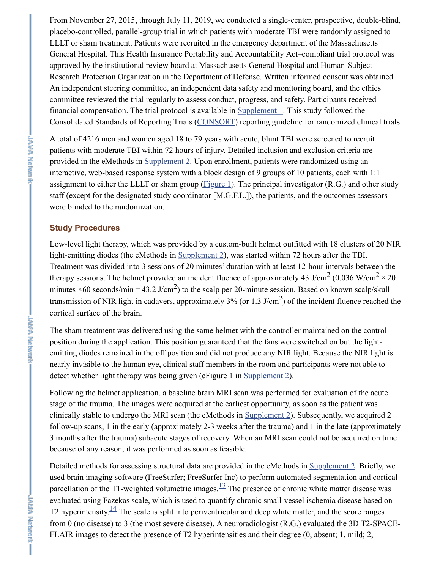From November 27, 2015, through July 11, 2019, we conducted a single-center, prospective, double-blind, placebo-controlled, parallel-group trial in which patients with moderate TBI were randomly assigned to LLLT or sham treatment. Patients were recruited in the emergency department of the Massachusetts General Hospital. This Health Insurance Portability and Accountability Act–compliant trial protocol was approved by the institutional review board at Massachusetts General Hospital and Human-Subject Research Protection Organization in the Department of Defense. Written informed consent was obtained. An independent steering committee, an independent data safety and monitoring board, and the ethics committee reviewed the trial regularly to assess conduct, progress, and safety. Participants received financial compensation. The trial protocol is available in Supplement 1. This study followed the Consolidated Standards of Reporting Trials (CONSORT) reporting guideline for randomized clinical trials.

A total of 4216 men and women aged 18 to 79 years with acute, blunt TBI were screened to recruit patients with moderate TBI within 72 hours of injury. Detailed inclusion and exclusion criteria are provided in the eMethods in Supplement 2. Upon enrollment, patients were randomized using an interactive, web-based response system with a block design of 9 groups of 10 patients, each with 1:1 assignment to either the LLLT or sham group (Figure 1). The principal investigator (R.G.) and other study staff (except for the designated study coordinator [M.G.F.L.]), the patients, and the outcomes assessors were blinded to the randomization.

# **Study Procedures**

Low-level light therapy, which was provided by a custom-built helmet outfitted with 18 clusters of 20 NIR light-emitting diodes (the eMethods in Supplement 2), was started within 72 hours after the TBI. Treatment was divided into 3 sessions of 20 minutes' duration with at least 12-hour intervals between the therapy sessions. The helmet provided an incident fluence of approximately 43 J/cm<sup>2</sup> (0.036 W/cm<sup>2</sup>  $\times$  20 minutes ×60 seconds/min = 43.2 J/cm<sup>2</sup>) to the scalp per 20-minute session. Based on known scalp/skull transmission of NIR light in cadavers, approximately 3% (or 1.3 J/cm<sup>2</sup>) of the incident fluence reached the cortical surface of the brain.

The sham treatment was delivered using the same helmet with the controller maintained on the control position during the application. This position guaranteed that the fans were switched on but the lightemitting diodes remained in the off position and did not produce any NIR light. Because the NIR light is nearly invisible to the human eye, clinical staff members in the room and participants were not able to detect whether light therapy was being given (eFigure 1 in Supplement 2).

Following the helmet application, a baseline brain MRI scan was performed for evaluation of the acute stage of the trauma. The images were acquired at the earliest opportunity, as soon as the patient was clinically stable to undergo the MRI scan (the eMethods in Supplement 2). Subsequently, we acquired 2 follow-up scans, 1 in the early (approximately 2-3 weeks after the trauma) and 1 in the late (approximately 3 months after the trauma) subacute stages of recovery. When an MRI scan could not be acquired on time because of any reason, it was performed as soon as feasible.

Detailed methods for assessing structural data are provided in the eMethods in Supplement 2. Briefly, we used brain imaging software (FreeSurfer; FreeSurfer Inc) to perform automated segmentation and cortical parcellation of the T1-weighted volumetric images. $\frac{13}{12}$  The presence of chronic white matter disease was evaluated using Fazekas scale, which is used to quantify chronic small-vessel ischemia disease based on T2 hyperintensity. $\frac{14}{1}$  The scale is split into periventricular and deep white matter, and the score ranges from 0 (no disease) to 3 (the most severe disease). A neuroradiologist (R.G.) evaluated the 3D T2-SPACE-FLAIR images to detect the presence of T2 hyperintensities and their degree (0, absent; 1, mild; 2,

-Lewer Namisak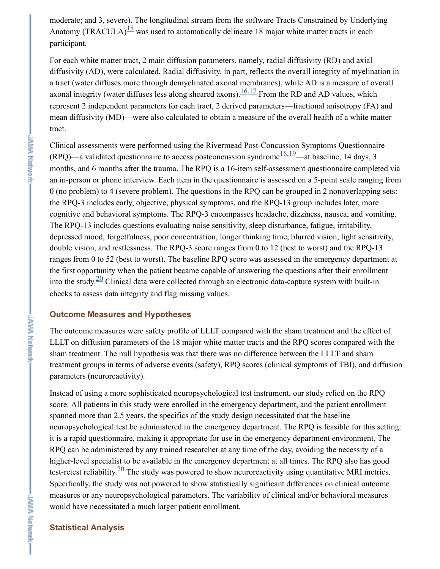moderate; and 3, severe). The longitudinal stream from the software Tracts Constrained by Underlying Anatomy (TRACULA) $\frac{15}{5}$  was used to automatically delineate 18 major white matter tracts in each participant.

For each white matter tract, 2 main diffusion parameters, namely, radial diffusivity (RD) and axial diffusivity (AD), were calculated. Radial diffusivity, in part, reflects the overall integrity of myelination in a tract (water diffuses more through demyelinated axonal membranes), while AD is a measure of overall axonal integrity (water diffuses less along sheared axons).  $\frac{16,17}{16}$  From the RD and AD values, which represent 2 independent parameters for each tract, 2 derived parameters—fractional anisotropy (FA) and mean diffusivity (MD)—were also calculated to obtain a measure of the overall health of a white matter tract.

Clinical assessments were performed using the Rivermead Post-Concussion Symptoms Questionnaire (RPQ)—a validated questionnaire to access postconcussion syndrome  $\frac{18,19}{18}$ —at baseline, 14 days, 3 months, and 6 months after the trauma. The RPQ is a 16-item self-assessment questionnaire completed via an in-person or phone interview. Each item in the questionnaire is assessed on a 5-point scale ranging from 0 (no problem) to 4 (severe problem). The questions in the RPQ can be grouped in 2 nonoverlapping sets: the RPQ-3 includes early, objective, physical symptoms, and the RPQ-13 group includes later, more cognitive and behavioral symptoms. The RPQ-3 encompasses headache, dizziness, nausea, and vomiting. The RPQ-13 includes questions evaluating noise sensitivity, sleep disturbance, fatigue, irritability, depressed mood, forgetfulness, poor concentration, longer thinking time, blurred vision, light sensitivity, double vision, and restlessness. The RPQ-3 score ranges from 0 to 12 (best to worst) and the RPQ-13 ranges from 0 to 52 (best to worst). The baseline RPQ score was assessed in the emergency department at the first opportunity when the patient became capable of answering the questions after their enrollment into the study.  $\frac{20}{2}$  Clinical data were collected through an electronic data-capture system with built-in checks to assess data integrity and flag missing values.

# **Outcome Measures and Hypotheses**

The outcome measures were safety profile of LLLT compared with the sham treatment and the effect of LLLT on diffusion parameters of the 18 major white matter tracts and the RPQ scores compared with the sham treatment. The null hypothesis was that there was no difference between the LLLT and sham treatment groups in terms of adverse events (safety), RPQ scores (clinical symptoms of TBI), and diffusion parameters (neuroreactivity).

Instead of using a more sophisticated neuropsychological test instrument, our study relied on the RPQ score. All patients in this study were enrolled in the emergency department, and the patient enrollment spanned more than 2.5 years. the specifics of the study design necessitated that the baseline neuropsychological test be administered in the emergency department. The RPQ is feasible for this setting: it is a rapid questionnaire, making it appropriate for use in the emergency department environment. The RPQ can be administered by any trained researcher at any time of the day, avoiding the necessity of a higher-level specialist to be available in the emergency department at all times. The RPQ also has good test-retest reliability. $\frac{20}{10}$  The study was powered to show neuroreactivity using quantitative MRI metrics. Specifically, the study was not powered to show statistically significant differences on clinical outcome measures or any neuropsychological parameters. The variability of clinical and/or behavioral measures would have necessitated a much larger patient enrollment.

#### **Statistical Analysis**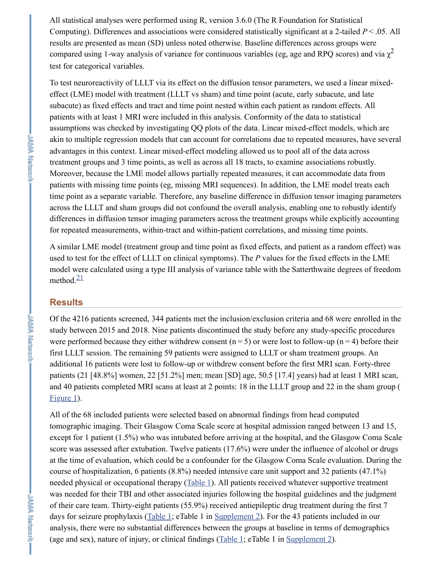All statistical analyses were performed using R, version 3.6.0 (The R Foundation for Statistical Computing). Differences and associations were considered statistically significant at a 2-tailed *P* < .05. All results are presented as mean (SD) unless noted otherwise. Baseline differences across groups were compared using 1-way analysis of variance for continuous variables (eg, age and RPQ scores) and via  $\chi^2$ test for categorical variables.

To test neuroreactivity of LLLT via its effect on the diffusion tensor parameters, we used a linear mixedeffect (LME) model with treatment (LLLT vs sham) and time point (acute, early subacute, and late subacute) as fixed effects and tract and time point nested within each patient as random effects. All patients with at least 1 MRI were included in this analysis. Conformity of the data to statistical assumptions was checked by investigating QQ plots of the data. Linear mixed-effect models, which are akin to multiple regression models that can account for correlations due to repeated measures, have several advantages in this context. Linear mixed-effect modeling allowed us to pool all of the data across treatment groups and 3 time points, as well as across all 18 tracts, to examine associations robustly. Moreover, because the LME model allows partially repeated measures, it can accommodate data from patients with missing time points (eg, missing MRI sequences). In addition, the LME model treats each time point as a separate variable. Therefore, any baseline difference in diffusion tensor imaging parameters across the LLLT and sham groups did not confound the overall analysis, enabling one to robustly identify differences in diffusion tensor imaging parameters across the treatment groups while explicitly accounting for repeated measurements, within-tract and within-patient correlations, and missing time points.

A similar LME model (treatment group and time point as fixed effects, and patient as a random effect) was used to test for the effect of LLLT on clinical symptoms). The *P* values for the fixed effects in the LME model were calculated using a type III analysis of variance table with the Satterthwaite degrees of freedom method. $\frac{21}{2}$ 

# **Results**

Of the 4216 patients screened, 344 patients met the inclusion/exclusion criteria and 68 were enrolled in the study between 2015 and 2018. Nine patients discontinued the study before any study-specific procedures were performed because they either withdrew consent  $(n=5)$  or were lost to follow-up  $(n=4)$  before their first LLLT session. The remaining 59 patients were assigned to LLLT or sham treatment groups. An additional 16 patients were lost to follow-up or withdrew consent before the first MRI scan. Forty-three patients (21 [48.8%] women, 22 [51.2%] men; mean [SD] age, 50.5 [17.4] years) had at least 1 MRI scan, and 40 patients completed MRI scans at least at 2 points: 18 in the LLLT group and 22 in the sham group ( Figure 1).

All of the 68 included patients were selected based on abnormal findings from head computed tomographic imaging. Their Glasgow Coma Scale score at hospital admission ranged between 13 and 15, except for 1 patient (1.5%) who was intubated before arriving at the hospital, and the Glasgow Coma Scale score was assessed after extubation. Twelve patients (17.6%) were under the influence of alcohol or drugs at the time of evaluation, which could be a confounder for the Glasgow Coma Scale evaluation. During the course of hospitalization, 6 patients (8.8%) needed intensive care unit support and 32 patients (47.1%) needed physical or occupational therapy (Table 1). All patients received whatever supportive treatment was needed for their TBI and other associated injuries following the hospital guidelines and the judgment of their care team. Thirty-eight patients (55.9%) received antiepileptic drug treatment during the first 7 days for seizure prophylaxis ( $Table 1$ ; eTable 1 in  $Supplement 2$ ). For the 43 patients included in our analysis, there were no substantial differences between the groups at baseline in terms of demographics (age and sex), nature of injury, or clinical findings (Table 1; eTable 1 in Supplement 2).

**- Library Newser**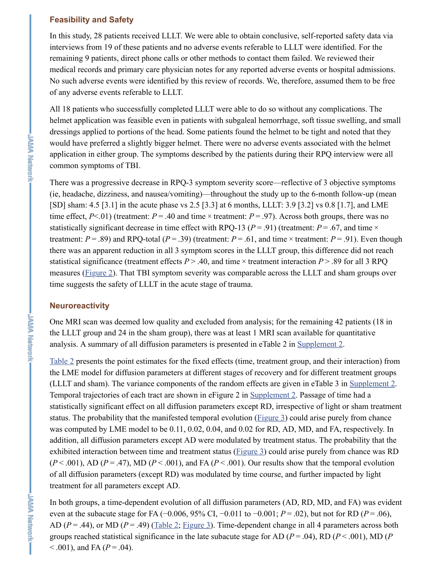# **Feasibility and Safety**

In this study, 28 patients received LLLT. We were able to obtain conclusive, self-reported safety data via interviews from 19 of these patients and no adverse events referable to LLLT were identified. For the remaining 9 patients, direct phone calls or other methods to contact them failed. We reviewed their medical records and primary care physician notes for any reported adverse events or hospital admissions. No such adverse events were identified by this review of records. We, therefore, assumed them to be free of any adverse events referable to LLLT.

All 18 patients who successfully completed LLLT were able to do so without any complications. The helmet application was feasible even in patients with subgaleal hemorrhage, soft tissue swelling, and small dressings applied to portions of the head. Some patients found the helmet to be tight and noted that they would have preferred a slightly bigger helmet. There were no adverse events associated with the helmet application in either group. The symptoms described by the patients during their RPQ interview were all common symptoms of TBI.

There was a progressive decrease in RPQ-3 symptom severity score—reflective of 3 objective symptoms (ie, headache, dizziness, and nausea/vomiting)—throughout the study up to the 6-month follow-up (mean [SD] sham: 4.5 [3.1] in the acute phase vs 2.5 [3.3] at 6 months, LLLT: 3.9 [3.2] vs 0.8 [1.7], and LME time effect,  $P < 01$ ) (treatment:  $P = .40$  and time  $\times$  treatment:  $P = .97$ ). Across both groups, there was no statistically significant decrease in time effect with RPQ-13 ( $P = .91$ ) (treatment:  $P = .67$ , and time  $\times$ treatment:  $P = .89$ ) and RPO-total ( $P = .39$ ) (treatment:  $P = .61$ , and time  $\times$  treatment:  $P = .91$ ). Even though there was an apparent reduction in all 3 symptom scores in the LLLT group, this difference did not reach statistical significance (treatment effects  $P > .40$ , and time  $\times$  treatment interaction  $P > .89$  for all 3 RPQ measures (Figure 2). That TBI symptom severity was comparable across the LLLT and sham groups over time suggests the safety of LLLT in the acute stage of trauma.

#### **Neuroreactivity**

One MRI scan was deemed low quality and excluded from analysis; for the remaining 42 patients (18 in the LLLT group and 24 in the sham group), there was at least 1 MRI scan available for quantitative analysis. A summary of all diffusion parameters is presented in eTable 2 in Supplement 2.

Table 2 presents the point estimates for the fixed effects (time, treatment group, and their interaction) from the LME model for diffusion parameters at different stages of recovery and for different treatment groups (LLLT and sham). The variance components of the random effects are given in eTable 3 in Supplement 2. Temporal trajectories of each tract are shown in eFigure 2 in Supplement 2. Passage of time had a statistically significant effect on all diffusion parameters except RD, irrespective of light or sham treatment status. The probability that the manifested temporal evolution (*Figure 3*) could arise purely from chance was computed by LME model to be 0.11, 0.02, 0.04, and 0.02 for RD, AD, MD, and FA, respectively. In addition, all diffusion parameters except AD were modulated by treatment status. The probability that the exhibited interaction between time and treatment status (Figure 3) could arise purely from chance was RD  $(P < .001)$ , AD ( $P = .47$ ), MD ( $P < .001$ ), and FA ( $P < .001$ ). Our results show that the temporal evolution of all diffusion parameters (except RD) was modulated by time course, and further impacted by light treatment for all parameters except AD.

In both groups, a time-dependent evolution of all diffusion parameters (AD, RD, MD, and FA) was evident even at the subacute stage for FA ( $-0.006$ , 95% CI,  $-0.011$  to  $-0.001$ ;  $P = .02$ ), but not for RD ( $P = .06$ ), AD ( $P = .44$ ), or MD ( $P = .49$ ) (Table 2; Figure 3). Time-dependent change in all 4 parameters across both groups reached statistical significance in the late subacute stage for AD ( $P = .04$ ), RD ( $P < .001$ ), MD ( $P$  $<$  0.01), and FA (*P* = 0.04).

 $\frac{1}{2}$  ,  $\frac{1}{2}$  ,  $\frac{1}{2}$  ,  $\frac{1}{2}$  ,  $\frac{1}{2}$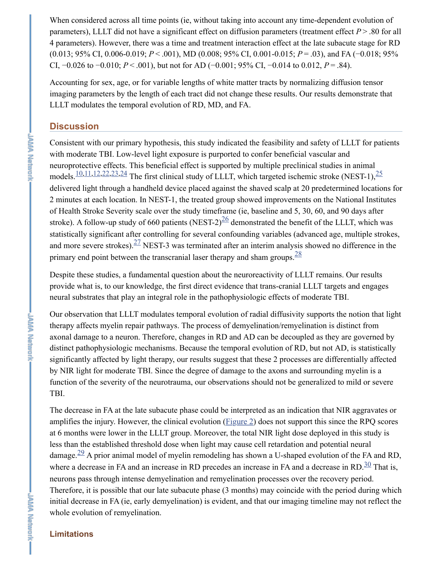When considered across all time points (ie, without taking into account any time-dependent evolution of parameters), LLLT did not have a significant effect on diffusion parameters (treatment effect *P* > .80 for all 4 parameters). However, there was a time and treatment interaction effect at the late subacute stage for RD (0.013; 95% CI, 0.006-0.019; *P* < .001), MD (0.008; 95% CI, 0.001-0.015; *P* = .03), and FA (−0.018; 95% CI,  $-0.026$  to  $-0.010$ ;  $P < .001$ ), but not for AD ( $-0.001$ ; 95% CI,  $-0.014$  to 0.012,  $P = .84$ ).

Accounting for sex, age, or for variable lengths of white matter tracts by normalizing diffusion tensor imaging parameters by the length of each tract did not change these results. Our results demonstrate that LLLT modulates the temporal evolution of RD, MD, and FA.

# **Discussion**

Consistent with our primary hypothesis, this study indicated the feasibility and safety of LLLT for patients with moderate TBI. Low-level light exposure is purported to confer beneficial vascular and neuroprotective effects. This beneficial effect is supported by multiple preclinical studies in animal models.  $\frac{10,11,12,22,23,24}{1}$  The first clinical study of LLLT, which targeted ischemic stroke (NEST-1),  $\frac{25}{1}$ delivered light through a handheld device placed against the shaved scalp at 20 predetermined locations for 2 minutes at each location. In NEST-1, the treated group showed improvements on the National Institutes of Health Stroke Severity scale over the study timeframe (ie, baseline and 5, 30, 60, and 90 days after stroke). A follow-up study of 660 patients (NEST-2) $\frac{26}{}$  demonstrated the benefit of the LLLT, which was statistically significant after controlling for several confounding variables (advanced age, multiple strokes, and more severe strokes).  $27$  NEST-3 was terminated after an interim analysis showed no difference in the primary end point between the transcranial laser therapy and sham groups. $\frac{28}{3}$ 

Despite these studies, a fundamental question about the neuroreactivity of LLLT remains. Our results provide what is, to our knowledge, the first direct evidence that trans-cranial LLLT targets and engages neural substrates that play an integral role in the pathophysiologic effects of moderate TBI.

Our observation that LLLT modulates temporal evolution of radial diffusivity supports the notion that light therapy affects myelin repair pathways. The process of demyelination/remyelination is distinct from axonal damage to a neuron. Therefore, changes in RD and AD can be decoupled as they are governed by distinct pathophysiologic mechanisms. Because the temporal evolution of RD, but not AD, is statistically significantly affected by light therapy, our results suggest that these 2 processes are differentially affected by NIR light for moderate TBI. Since the degree of damage to the axons and surrounding myelin is a function of the severity of the neurotrauma, our observations should not be generalized to mild or severe TBI.

The decrease in FA at the late subacute phase could be interpreted as an indication that NIR aggravates or amplifies the injury. However, the clinical evolution  $(Figure 2)$  does not support this since the RPQ scores at 6 months were lower in the LLLT group. Moreover, the total NIR light dose deployed in this study is less than the established threshold dose when light may cause cell retardation and potential neural damage. $\frac{29}{9}$  A prior animal model of myelin remodeling has shown a U-shaped evolution of the FA and RD, where a decrease in FA and an increase in RD precedes an increase in FA and a decrease in RD.<sup>30</sup> That is, neurons pass through intense demyelination and remyelination processes over the recovery period. Therefore, it is possible that our late subacute phase (3 months) may coincide with the period during which initial decrease in FA (ie, early demyelination) is evident, and that our imaging timeline may not reflect the whole evolution of remyelination.

# **Limitations**

 $\frac{1}{2}$  ,  $\frac{1}{2}$  ,  $\frac{1}{2}$  ,  $\frac{1}{2}$  ,  $\frac{1}{2}$  ,  $\frac{1}{2}$  ,  $\frac{1}{2}$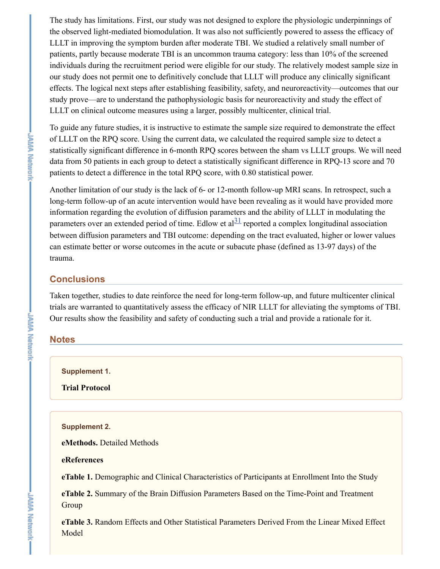The study has limitations. First, our study was not designed to explore the physiologic underpinnings of the observed light-mediated biomodulation. It was also not sufficiently powered to assess the efficacy of LLLT in improving the symptom burden after moderate TBI. We studied a relatively small number of patients, partly because moderate TBI is an uncommon trauma category: less than 10% of the screened individuals during the recruitment period were eligible for our study. The relatively modest sample size in our study does not permit one to definitively conclude that LLLT will produce any clinically significant effects. The logical next steps after establishing feasibility, safety, and neuroreactivity—outcomes that our study prove—are to understand the pathophysiologic basis for neuroreactivity and study the effect of LLLT on clinical outcome measures using a larger, possibly multicenter, clinical trial.

To guide any future studies, it is instructive to estimate the sample size required to demonstrate the effect of LLLT on the RPQ score. Using the current data, we calculated the required sample size to detect a statistically significant difference in 6-month RPQ scores between the sham vs LLLT groups. We will need data from 50 patients in each group to detect a statistically significant difference in RPQ-13 score and 70 patients to detect a difference in the total RPQ score, with 0.80 statistical power.

Another limitation of our study is the lack of 6- or 12-month follow-up MRI scans. In retrospect, such a long-term follow-up of an acute intervention would have been revealing as it would have provided more information regarding the evolution of diffusion parameters and the ability of LLLT in modulating the parameters over an extended period of time. Edlow et al $\frac{31}{2}$  reported a complex longitudinal association between diffusion parameters and TBI outcome: depending on the tract evaluated, higher or lower values can estimate better or worse outcomes in the acute or subacute phase (defined as 13-97 days) of the trauma.

# **Conclusions**

Taken together, studies to date reinforce the need for long-term follow-up, and future multicenter clinical trials are warranted to quantitatively assess the efficacy of NIR LLLT for alleviating the symptoms of TBI. Our results show the feasibility and safety of conducting such a trial and provide a rationale for it.

# **Notes**

**I Library Network** 

**- Library Newsork** 

**Supplement 1.**

**Trial Protocol**

**Supplement 2.**

**eMethods.** Detailed Methods

**eReferences**

**eTable 1.** Demographic and Clinical Characteristics of Participants at Enrollment Into the Study

**eTable 2.** Summary of the Brain Diffusion Parameters Based on the Time-Point and Treatment Group

**eTable 3.** Random Effects and Other Statistical Parameters Derived From the Linear Mixed Effect Model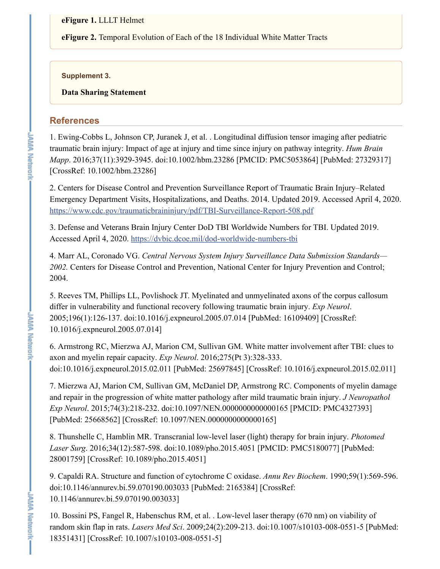**eFigure 1.** LLLT Helmet

**eFigure 2.** Temporal Evolution of Each of the 18 Individual White Matter Tracts

**Supplement 3.**

**Data Sharing Statement**

# **References**

**I** Library Marsack

**Library Namerick** 

1. Ewing-Cobbs L, Johnson CP, Juranek J, et al. . Longitudinal diffusion tensor imaging after pediatric traumatic brain injury: Impact of age at injury and time since injury on pathway integrity. *Hum Brain Mapp*. 2016;37(11):3929-3945. doi:10.1002/hbm.23286 [PMCID: PMC5053864] [PubMed: 27329317] [CrossRef: 10.1002/hbm.23286]

2. Centers for Disease Control and Prevention Surveillance Report of Traumatic Brain Injury–Related Emergency Department Visits, Hospitalizations, and Deaths. 2014. Updated 2019. Accessed April 4, 2020. https://www.cdc.gov/traumaticbraininjury/pdf/TBI-Surveillance-Report-508.pdf

3. Defense and Veterans Brain Injury Center DoD TBI Worldwide Numbers for TBI. Updated 2019. Accessed April 4, 2020. https://dvbic.dcoe.mil/dod-worldwide-numbers-tbi

4. Marr AL, Coronado VG. *Central Nervous System Injury Surveillance Data Submission Standards— 2002.* Centers for Disease Control and Prevention, National Center for Injury Prevention and Control; 2004.

5. Reeves TM, Phillips LL, Povlishock JT. Myelinated and unmyelinated axons of the corpus callosum differ in vulnerability and functional recovery following traumatic brain injury. *Exp Neurol*. 2005;196(1):126-137. doi:10.1016/j.expneurol.2005.07.014 [PubMed: 16109409] [CrossRef: 10.1016/j.expneurol.2005.07.014]

6. Armstrong RC, Mierzwa AJ, Marion CM, Sullivan GM. White matter involvement after TBI: clues to axon and myelin repair capacity. *Exp Neurol*. 2016;275(Pt 3):328-333. doi:10.1016/j.expneurol.2015.02.011 [PubMed: 25697845] [CrossRef: 10.1016/j.expneurol.2015.02.011]

7. Mierzwa AJ, Marion CM, Sullivan GM, McDaniel DP, Armstrong RC. Components of myelin damage and repair in the progression of white matter pathology after mild traumatic brain injury. *J Neuropathol Exp Neurol*. 2015;74(3):218-232. doi:10.1097/NEN.0000000000000165 [PMCID: PMC4327393] [PubMed: 25668562] [CrossRef: 10.1097/NEN.0000000000000165]

8. Thunshelle C, Hamblin MR. Transcranial low-level laser (light) therapy for brain injury. *Photomed Laser Surg*. 2016;34(12):587-598. doi:10.1089/pho.2015.4051 [PMCID: PMC5180077] [PubMed: 28001759] [CrossRef: 10.1089/pho.2015.4051]

9. Capaldi RA. Structure and function of cytochrome C oxidase. *Annu Rev Biochem*. 1990;59(1):569-596. doi:10.1146/annurev.bi.59.070190.003033 [PubMed: 2165384] [CrossRef: 10.1146/annurev.bi.59.070190.003033]

10. Bossini PS, Fangel R, Habenschus RM, et al. . Low-level laser therapy (670 nm) on viability of random skin flap in rats. *Lasers Med Sci*. 2009;24(2):209-213. doi:10.1007/s10103-008-0551-5 [PubMed: 18351431] [CrossRef: 10.1007/s10103-008-0551-5]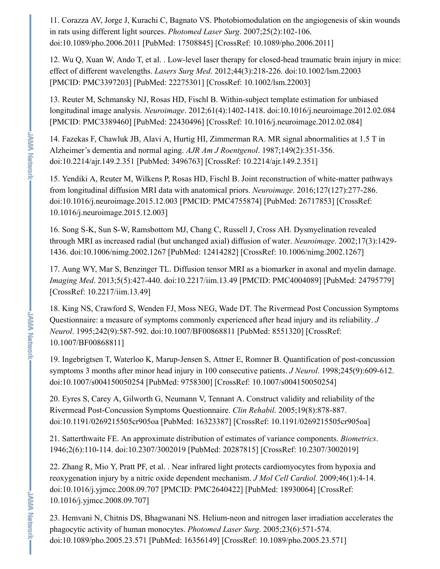11. Corazza AV, Jorge J, Kurachi C, Bagnato VS. Photobiomodulation on the angiogenesis of skin wounds in rats using different light sources. *Photomed Laser Surg*. 2007;25(2):102-106. doi:10.1089/pho.2006.2011 [PubMed: 17508845] [CrossRef: 10.1089/pho.2006.2011]

12. Wu Q, Xuan W, Ando T, et al. . Low-level laser therapy for closed-head traumatic brain injury in mice: effect of different wavelengths. *Lasers Surg Med*. 2012;44(3):218-226. doi:10.1002/lsm.22003 [PMCID: PMC3397203] [PubMed: 22275301] [CrossRef: 10.1002/lsm.22003]

13. Reuter M, Schmansky NJ, Rosas HD, Fischl B. Within-subject template estimation for unbiased longitudinal image analysis. *Neuroimage*. 2012;61(4):1402-1418. doi:10.1016/j.neuroimage.2012.02.084 [PMCID: PMC3389460] [PubMed: 22430496] [CrossRef: 10.1016/j.neuroimage.2012.02.084]

14. Fazekas F, Chawluk JB, Alavi A, Hurtig HI, Zimmerman RA. MR signal abnormalities at 1.5 T in Alzheimer's dementia and normal aging. *AJR Am J Roentgenol*. 1987;149(2):351-356. doi:10.2214/ajr.149.2.351 [PubMed: 3496763] [CrossRef: 10.2214/ajr.149.2.351]

15. Yendiki A, Reuter M, Wilkens P, Rosas HD, Fischl B. Joint reconstruction of white-matter pathways from longitudinal diffusion MRI data with anatomical priors. *Neuroimage*. 2016;127(127):277-286. doi:10.1016/j.neuroimage.2015.12.003 [PMCID: PMC4755874] [PubMed: 26717853] [CrossRef: 10.1016/j.neuroimage.2015.12.003]

16. Song S-K, Sun S-W, Ramsbottom MJ, Chang C, Russell J, Cross AH. Dysmyelination revealed through MRI as increased radial (but unchanged axial) diffusion of water. *Neuroimage*. 2002;17(3):1429- 1436. doi:10.1006/nimg.2002.1267 [PubMed: 12414282] [CrossRef: 10.1006/nimg.2002.1267]

17. Aung WY, Mar S, Benzinger TL. Diffusion tensor MRI as a biomarker in axonal and myelin damage. *Imaging Med*. 2013;5(5):427-440. doi:10.2217/iim.13.49 [PMCID: PMC4004089] [PubMed: 24795779] [CrossRef: 10.2217/iim.13.49]

18. King NS, Crawford S, Wenden FJ, Moss NEG, Wade DT. The Rivermead Post Concussion Symptoms Questionnaire: a measure of symptoms commonly experienced after head injury and its reliability. *J Neurol*. 1995;242(9):587-592. doi:10.1007/BF00868811 [PubMed: 8551320] [CrossRef: 10.1007/BF00868811]

19. Ingebrigtsen T, Waterloo K, Marup-Jensen S, Attner E, Romner B. Quantification of post-concussion symptoms 3 months after minor head injury in 100 consecutive patients. *J Neurol*. 1998;245(9):609-612. doi:10.1007/s004150050254 [PubMed: 9758300] [CrossRef: 10.1007/s004150050254]

20. Eyres S, Carey A, Gilworth G, Neumann V, Tennant A. Construct validity and reliability of the Rivermead Post-Concussion Symptoms Questionnaire. *Clin Rehabil*. 2005;19(8):878-887. doi:10.1191/0269215505cr905oa [PubMed: 16323387] [CrossRef: 10.1191/0269215505cr905oa]

21. Satterthwaite FE. An approximate distribution of estimates of variance components. *Biometrics*. 1946;2(6):110-114. doi:10.2307/3002019 [PubMed: 20287815] [CrossRef: 10.2307/3002019]

22. Zhang R, Mio Y, Pratt PF, et al. . Near infrared light protects cardiomyocytes from hypoxia and reoxygenation injury by a nitric oxide dependent mechanism. *J Mol Cell Cardiol*. 2009;46(1):4-14. doi:10.1016/j.yjmcc.2008.09.707 [PMCID: PMC2640422] [PubMed: 18930064] [CrossRef: 10.1016/j.yjmcc.2008.09.707]

23. Hemvani N, Chitnis DS, Bhagwanani NS. Helium-neon and nitrogen laser irradiation accelerates the phagocytic activity of human monocytes. *Photomed Laser Surg*. 2005;23(6):571-574. doi:10.1089/pho.2005.23.571 [PubMed: 16356149] [CrossRef: 10.1089/pho.2005.23.571]

**Liber Zaman** 

 $-L$  by  $\mathcal{F}$  and  $\mathcal{F}$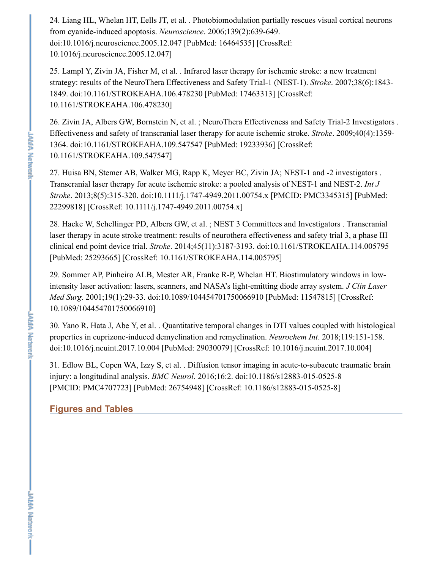24. Liang HL, Whelan HT, Eells JT, et al. . Photobiomodulation partially rescues visual cortical neurons from cyanide-induced apoptosis. *Neuroscience*. 2006;139(2):639-649. doi:10.1016/j.neuroscience.2005.12.047 [PubMed: 16464535] [CrossRef: 10.1016/j.neuroscience.2005.12.047]

25. Lampl Y, Zivin JA, Fisher M, et al. . Infrared laser therapy for ischemic stroke: a new treatment strategy: results of the NeuroThera Effectiveness and Safety Trial-1 (NEST-1). *Stroke*. 2007;38(6):1843- 1849. doi:10.1161/STROKEAHA.106.478230 [PubMed: 17463313] [CrossRef: 10.1161/STROKEAHA.106.478230]

26. Zivin JA, Albers GW, Bornstein N, et al. ; NeuroThera Effectiveness and Safety Trial-2 Investigators . Effectiveness and safety of transcranial laser therapy for acute ischemic stroke. *Stroke*. 2009;40(4):1359- 1364. doi:10.1161/STROKEAHA.109.547547 [PubMed: 19233936] [CrossRef: 10.1161/STROKEAHA.109.547547]

27. Huisa BN, Stemer AB, Walker MG, Rapp K, Meyer BC, Zivin JA; NEST-1 and -2 investigators . Transcranial laser therapy for acute ischemic stroke: a pooled analysis of NEST-1 and NEST-2. *Int J Stroke*. 2013;8(5):315-320. doi:10.1111/j.1747-4949.2011.00754.x [PMCID: PMC3345315] [PubMed: 22299818] [CrossRef: 10.1111/j.1747-4949.2011.00754.x]

28. Hacke W, Schellinger PD, Albers GW, et al. ; NEST 3 Committees and Investigators . Transcranial laser therapy in acute stroke treatment: results of neurothera effectiveness and safety trial 3, a phase III clinical end point device trial. *Stroke*. 2014;45(11):3187-3193. doi:10.1161/STROKEAHA.114.005795 [PubMed: 25293665] [CrossRef: 10.1161/STROKEAHA.114.005795]

29. Sommer AP, Pinheiro ALB, Mester AR, Franke R-P, Whelan HT. Biostimulatory windows in lowintensity laser activation: lasers, scanners, and NASA's light-emitting diode array system. *J Clin Laser Med Surg*. 2001;19(1):29-33. doi:10.1089/104454701750066910 [PubMed: 11547815] [CrossRef: 10.1089/104454701750066910]

30. Yano R, Hata J, Abe Y, et al. . Quantitative temporal changes in DTI values coupled with histological properties in cuprizone-induced demyelination and remyelination. *Neurochem Int*. 2018;119:151-158. doi:10.1016/j.neuint.2017.10.004 [PubMed: 29030079] [CrossRef: 10.1016/j.neuint.2017.10.004]

31. Edlow BL, Copen WA, Izzy S, et al. . Diffusion tensor imaging in acute-to-subacute traumatic brain injury: a longitudinal analysis. *BMC Neurol*. 2016;16:2. doi:10.1186/s12883-015-0525-8 [PMCID: PMC4707723] [PubMed: 26754948] [CrossRef: 10.1186/s12883-015-0525-8]

# **Figures and Tables**

 $\frac{1}{2}$  ,  $\frac{1}{2}$  ,  $\frac{1}{2}$  ,  $\frac{1}{2}$  ,  $\frac{1}{2}$  ,  $\frac{1}{2}$  ,  $\frac{1}{2}$ 

 $\frac{1}{2}$  is a second  $\frac{1}{2}$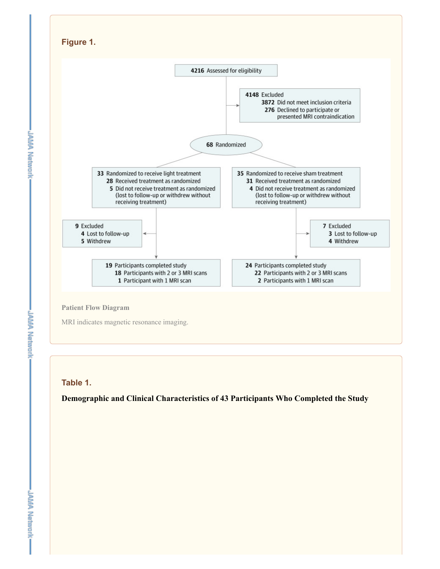

# **Table 1.**

**Demographic and Clinical Characteristics of 43 Participants Who Completed the Study**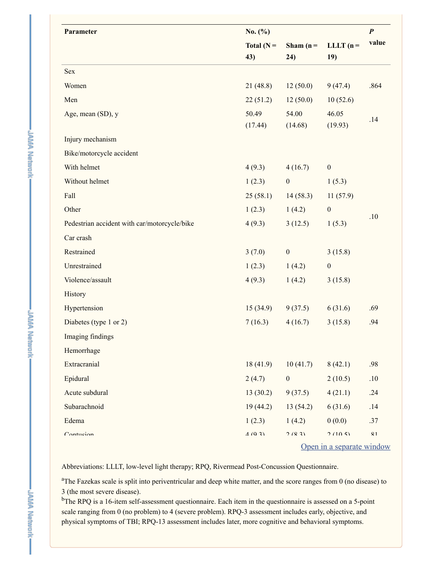| Parameter                                    | No. $(\% )$         | $\boldsymbol{P}$   |                  |            |  |
|----------------------------------------------|---------------------|--------------------|------------------|------------|--|
|                                              | Total $(N =$<br>43) | Sham $(n =$<br>24) | $LLLT(n=$<br>19) | value      |  |
| <b>Sex</b>                                   |                     |                    |                  |            |  |
| Women                                        | 21(48.8)            | 12(50.0)           | 9(47.4)          | .864       |  |
| Men                                          | 22(51.2)            | 12(50.0)           | 10(52.6)         |            |  |
| Age, mean (SD), y                            | 50.49<br>(17.44)    | 54.00<br>(14.68)   | 46.05<br>(19.93) | .14        |  |
| Injury mechanism                             |                     |                    |                  |            |  |
| Bike/motorcycle accident                     |                     |                    |                  |            |  |
| With helmet                                  | 4(9.3)              | 4(16.7)            | $\boldsymbol{0}$ |            |  |
| Without helmet                               | 1(2.3)              | $\boldsymbol{0}$   | 1(5.3)           |            |  |
| Fall                                         | 25(58.1)            | 14(58.3)           | 11(57.9)         |            |  |
| Other                                        | 1(2.3)              | 1(4.2)             | $\boldsymbol{0}$ |            |  |
| Pedestrian accident with car/motorcycle/bike | 4(9.3)              | 3(12.5)            | 1(5.3)           | .10        |  |
| Car crash                                    |                     |                    |                  |            |  |
| Restrained                                   | 3(7.0)              | $\boldsymbol{0}$   | 3(15.8)          |            |  |
| Unrestrained                                 | 1(2.3)              | 1(4.2)             | $\boldsymbol{0}$ |            |  |
| Violence/assault                             | 4(9.3)              | 1(4.2)             | 3(15.8)          |            |  |
| History                                      |                     |                    |                  |            |  |
| Hypertension                                 | 15(34.9)            | 9(37.5)            | 6(31.6)          | .69        |  |
| Diabetes (type 1 or 2)                       | 7(16.3)             | 4(16.7)            | 3(15.8)          | .94        |  |
| Imaging findings                             |                     |                    |                  |            |  |
| Hemorrhage                                   |                     |                    |                  |            |  |
| Extracranial                                 | 18(41.9)            | 10(41.7)           | 8(42.1)          | .98        |  |
| Epidural                                     | 2(4.7)              | $\boldsymbol{0}$   | 2(10.5)          | .10        |  |
| Acute subdural                               | 13(30.2)            | 9(37.5)            | 4(21.1)          | .24        |  |
| Subarachnoid                                 | 19(44.2)            | 13(54.2)           | 6(31.6)          | .14        |  |
| Edema                                        | 1(2.3)              | 1(4.2)             | 0(0.0)           | .37        |  |
| $C$ ontusion                                 | $\Lambda$ (0 2)     | 7(83)              | 2(10.5)          | $\Omega$ 1 |  |

Open in a separate window

Abbreviations: LLLT, low-level light therapy; RPQ, Rivermead Post-Concussion Questionnaire.

 $a^2$ The Fazekas scale is split into periventricular and deep white matter, and the score ranges from 0 (no disease) to 3 (the most severe disease).

<sup>b</sup>The RPQ is a 16-item self-assessment questionnaire. Each item in the questionnaire is assessed on a 5-point scale ranging from 0 (no problem) to 4 (severe problem). RPQ-3 assessment includes early, objective, and physical symptoms of TBI; RPQ-13 assessment includes later, more cognitive and behavioral symptoms.

- こうろう Network ―

**I Library Newsor** 

 $l$  Label  $z$  are  $z$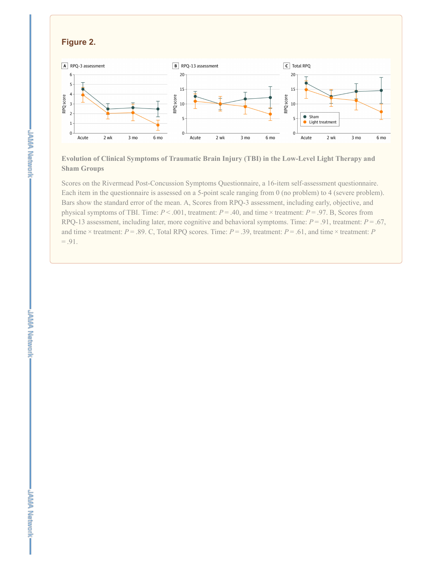# **Figure 2.**

 $L_{\rm p}$  and  $L_{\rm p}$  and  $L_{\rm p}$ 

**I** Leren Zamman

**I LANA NEWSER** 



**Evolution of Clinical Symptoms of Traumatic Brain Injury (TBI) in the Low-Level Light Therapy and Sham Groups**

Scores on the Rivermead Post-Concussion Symptoms Questionnaire, a 16-item self-assessment questionnaire. Each item in the questionnaire is assessed on a 5-point scale ranging from 0 (no problem) to 4 (severe problem). Bars show the standard error of the mean. A, Scores from RPQ-3 assessment, including early, objective, and physical symptoms of TBI. Time: *P* < .001, treatment: *P* = .40, and time × treatment: *P* = .97. B, Scores from RPQ-13 assessment, including later, more cognitive and behavioral symptoms. Time: *P* = .91, treatment: *P* = .67, and time  $\times$  treatment: *P* = .89. C, Total RPQ scores. Time: *P* = .39, treatment: *P* = .61, and time  $\times$  treatment: *P*  $= .91.$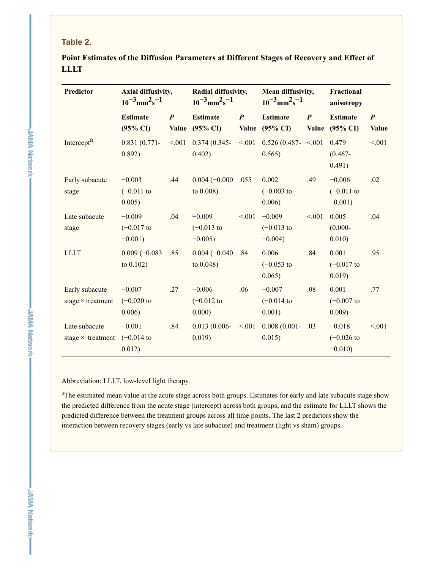### **Table 2.**

| Point Estimates of the Diffusion Parameters at Different Stages of Recovery and Effect of |  |  |
|-------------------------------------------------------------------------------------------|--|--|
| LLLT                                                                                      |  |  |

| Predictor                                  | Axial diffusivity,<br>$10^{-3}$ mm <sup>2</sup> s <sup>-1</sup> |                  | Radial diffusivity,<br>$10^{-3}$ mm <sup>2</sup> s <sup>-1</sup> |                  | Mean diffusivity,<br>$10^{-3}$ mm <sup>2</sup> s <sup>-1</sup> |                                  | Fractional<br>anisotropy                |                           |
|--------------------------------------------|-----------------------------------------------------------------|------------------|------------------------------------------------------------------|------------------|----------------------------------------------------------------|----------------------------------|-----------------------------------------|---------------------------|
|                                            | <b>Estimate</b><br>$(95\% \text{ CI})$                          | $\boldsymbol{P}$ | <b>Estimate</b><br>Value $(95\% \text{ CI})$                     | $\boldsymbol{P}$ | <b>Estimate</b><br>Value $(95\% \text{ CI})$                   | $\boldsymbol{P}$<br><b>Value</b> | <b>Estimate</b><br>$(95\% \text{ CI})$  | $\boldsymbol{P}$<br>Value |
| Intercept <sup>a</sup>                     | $0.831(0.771 -$<br>0.892)                                       | < 001            | $0.374(0.345 -$<br>0.402)                                        | < 001            | $0.526(0.487 - < 0.001)$<br>0.565)                             |                                  | 0.479<br>$(0.467 -$<br>0.491)           | < 0.01                    |
| Early subacute<br>stage                    | $-0.003$<br>$(-0.011)$ to<br>0.005)                             | .44              | $0.004 (-0.000)$<br>to 0.008)                                    | .055             | 0.002<br>$(-0.003)$ to<br>0.006)                               | .49                              | $-0.006$<br>$(-0.011)$ to<br>$-0.001$ ) | .02                       |
| Late subacute<br>stage                     | $-0.009$<br>$(-0.017)$ to<br>$-0.001$ )                         | .04              | $-0.009$<br>$(-0.013)$ to<br>$-0.005$ )                          | < 0.01           | $-0.009$<br>$(-0.013)$ to<br>$-0.004$ )                        | < 0.01                           | 0.005<br>$(0.000 -$<br>0.010)           | .04                       |
| <b>LLLT</b>                                | $0.009(-0.083)$<br>to $0.102$ )                                 | .85              | $0.004 (-0.040)$<br>to $0.048$ )                                 | .84              | 0.006<br>$(-0.053)$ to<br>0.065)                               | .84                              | 0.001<br>$(-0.017)$<br>0.019)           | .95                       |
| Early subacute<br>stage $\times$ treatment | $-0.007$<br>$(-0.020)$ to<br>0.006                              | .27              | $-0.006$<br>$(-0.012)$ to<br>0.000)                              | .06              | $-0.007$<br>$(-0.014)$<br>0.001)                               | .08                              | 0.001<br>$(-0.007)$ to<br>0.009         | .77                       |
| Late subacute<br>stage $\times$ treatment  | $-0.001$<br>$(-0.014)$<br>0.012)                                | .84              | $0.013(0.006 -$<br>0.019)                                        | < 001            | $0.008(0.001 -$<br>0.015)                                      | .03                              | $-0.018$<br>$(-0.026)$ to<br>$-0.010$   | < 0.01                    |

Abbreviation: LLLT, low-level light therapy.

<sup>a</sup>The estimated mean value at the acute stage across both groups. Estimates for early and late subacute stage show the predicted difference from the acute stage (intercept) across both groups, and the estimate for LLLT shows the predicted difference between the treatment groups across all time points. The last 2 predictors show the interaction between recovery stages (early vs late subacute) and treatment (light vs sham) groups.